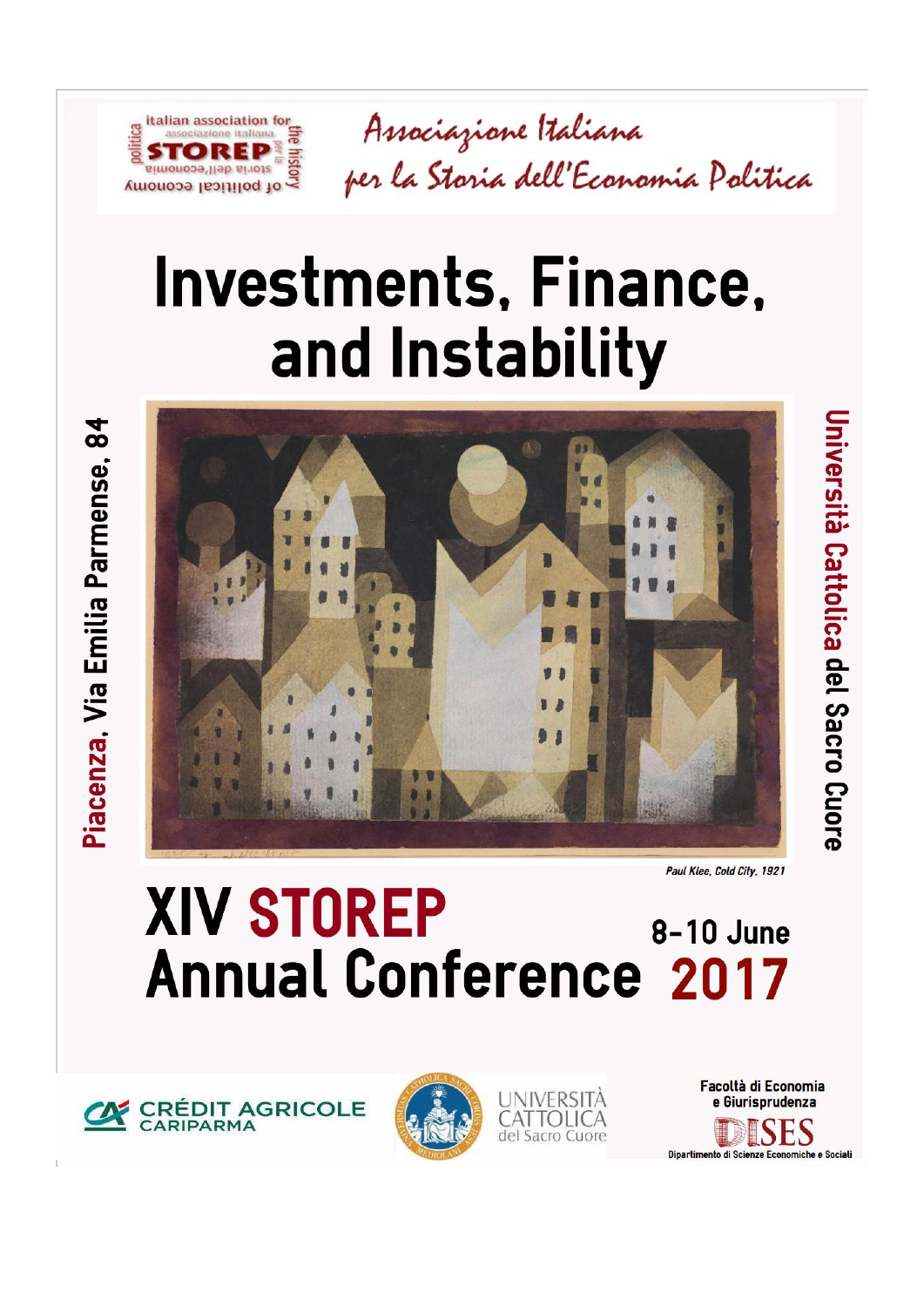

# **Investments, Finance,** and Instability



Paul Klee, Cold City, 1921

Università Cattolica del Sacro Cuore

## **XIV STOREP** 8-10 June **Annual Conference 2017**

**CRÉDIT AGRICOLE**<br>CARIPARMA

italian association for

storia dell'economia of political economy

associazione italiana

led. hist

tica





Facoltà di Economia e Giurisprudenza DISES Dipartimento di Scienze Economiche e Sociali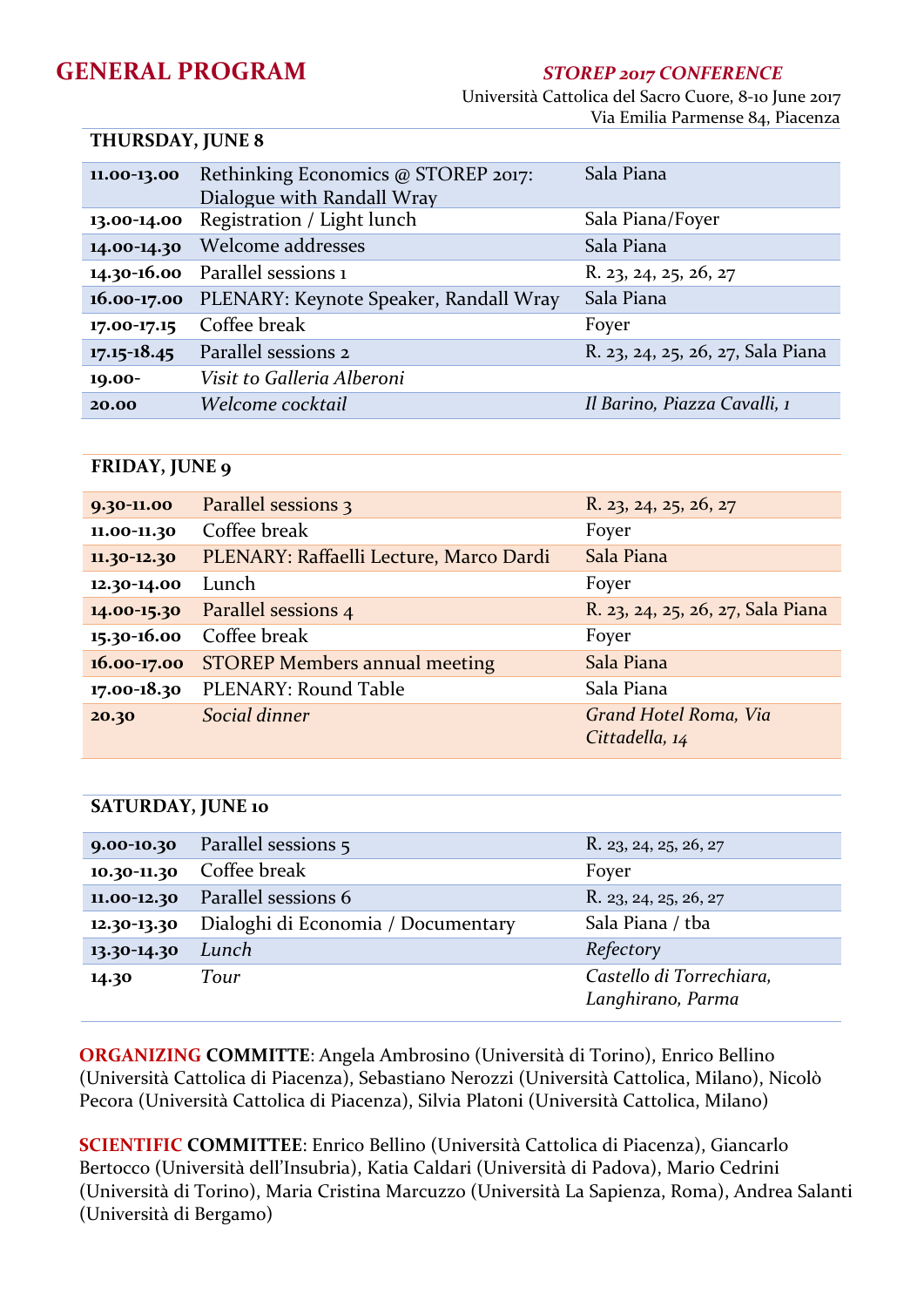### **GENERAL PROGRAM** *STOREP 2017 CONFERENCE*

 Università Cattolica del Sacro Cuore, 8-10 June 2017 Via Emilia Parmense 84, Piacenza

#### **THURSDAY, JUNE 8**

| 11.00-13.00     | Rethinking Economics @ STOREP 2017:    | Sala Piana                        |
|-----------------|----------------------------------------|-----------------------------------|
|                 | Dialogue with Randall Wray             |                                   |
| 13.00-14.00     | Registration / Light lunch             | Sala Piana/Foyer                  |
| 14.00-14.30     | Welcome addresses                      | Sala Piana                        |
|                 | 14.30-16.00 Parallel sessions 1        | R. 23, 24, 25, 26, 27             |
| $16.00 - 17.00$ | PLENARY: Keynote Speaker, Randall Wray | Sala Piana                        |
| 17.00-17.15     | Coffee break                           | Foyer                             |
| $17.15 - 18.45$ | Parallel sessions 2                    | R. 23, 24, 25, 26, 27, Sala Piana |
| 19.00-          | Visit to Galleria Alberoni             |                                   |
| 20.00           | Welcome cocktail                       | Il Barino, Piazza Cavalli, 1      |

#### **FRIDAY, JUNE 9**

| 9.30-11.00  | Parallel sessions 3                     | R. 23, 24, 25, 26, 27                   |
|-------------|-----------------------------------------|-----------------------------------------|
| 11.00-11.30 | Coffee break                            | Foyer                                   |
| 11.30-12.30 | PLENARY: Raffaelli Lecture, Marco Dardi | Sala Piana                              |
| 12.30-14.00 | Lunch                                   | Foyer                                   |
| 14.00-15.30 | Parallel sessions 4                     | R. 23, 24, 25, 26, 27, Sala Piana       |
| 15.30-16.00 | Coffee break                            | Foyer                                   |
| 16.00-17.00 | <b>STOREP Members annual meeting</b>    | Sala Piana                              |
| 17.00-18.30 | PLENARY: Round Table                    | Sala Piana                              |
| 20.30       | Social dinner                           | Grand Hotel Roma, Via<br>Cittadella, 14 |

#### **SATURDAY, JUNE 10**

|             | 9.00-10.30 Parallel sessions 5     | R. 23, 24, 25, 26, 27                         |
|-------------|------------------------------------|-----------------------------------------------|
|             | 10.30-11.30 Coffee break           | Foyer                                         |
| 11.00-12.30 | Parallel sessions 6                | R. 23, 24, 25, 26, 27                         |
| 12.30-13.30 | Dialoghi di Economia / Documentary | Sala Piana / tba                              |
| 13.30-14.30 | Lunch                              | Refectory                                     |
| 14.30       | Tour                               | Castello di Torrechiara,<br>Langhirano, Parma |

**ORGANIZING COMMITTE**: Angela Ambrosino (Università di Torino), Enrico Bellino (Università Cattolica di Piacenza), Sebastiano Nerozzi (Università Cattolica, Milano), Nicolò Pecora (Università Cattolica di Piacenza), Silvia Platoni (Università Cattolica, Milano)

**SCIENTIFIC COMMITTEE**: Enrico Bellino (Università Cattolica di Piacenza), Giancarlo Bertocco (Università dell'Insubria), Katia Caldari (Università di Padova), Mario Cedrini (Università di Torino), Maria Cristina Marcuzzo (Università La Sapienza, Roma), Andrea Salanti (Università di Bergamo)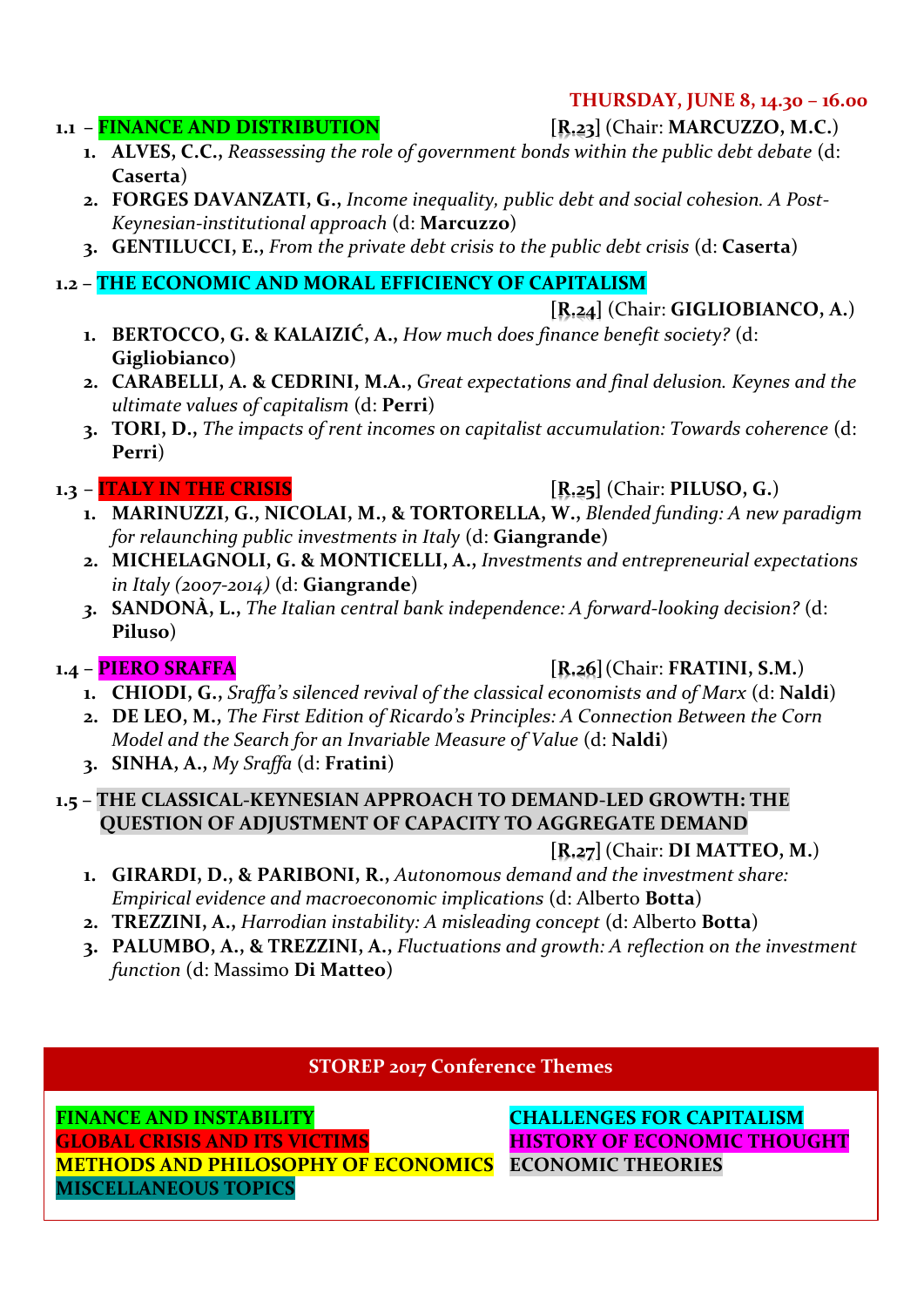#### **THURSDAY, JUNE 8, 14.30 – 16.00**

- **1. ALVES, C.C.,** *Reassessing the role of government bonds within the public debt debate* (d:
	- **Caserta**) **2. FORGES DAVANZATI, G.,** *Income inequality, public debt and social cohesion. A Post-Keynesian-institutional approach* (d: **Marcuzzo**)
	- **3. GENTILUCCI, E.,** *From the private debt crisis to the public debt crisis* (d: **Caserta**)

**1.2 – THE ECONOMIC AND MORAL EFFICIENCY OF CAPITALISM**

#### **[R.24]** (Chair: **GIGLIOBIANCO, A.**)

- **1. BERTOCCO, G. & KALAIZIĆ, A.,** *How much does finance benefit society?* (d: **Gigliobianco**)
- **2. CARABELLI, A. & CEDRINI, M.A.,** *Great expectations and final delusion. Keynes and the ultimate values of capitalism* (d: **Perri**)
- **3. TORI, D.,** *The impacts of rent incomes on capitalist accumulation: Towards coherence* (d: **Perri**)

### **1.3 – ITALY IN THE CRISIS [R.25]** (Chair: **PILUSO, G.**)

- **1. MARINUZZI, G., NICOLAI, M., & TORTORELLA, W.,** *Blended funding: A new paradigm for relaunching public investments in Italy* (d: **Giangrande**)
- **2. MICHELAGNOLI, G. & MONTICELLI, A.,** *Investments and entrepreneurial expectations in Italy (2007-2014)* (d: **Giangrande**)
- *3.* **SANDONÀ, L.,** *The Italian central bank independence: A forward-looking decision?* (d: **Piluso**)

### **1.4** – **PIERO SRAFFA [R.26]**(Chair: **FRATINI, S.M.**)

- **1. CHIODI, G.,** *Sraffa's silenced revival of the classical economists and of Marx* (d: **Naldi**)
- **2. DE LEO, M.,** *The First Edition of Ricardo's Principles: A Connection Between the Corn Model and the Search for an Invariable Measure of Value* (d: **Naldi**)
- **3. SINHA, A.,** *My Sraffa* (d: **Fratini**)

#### **1.5 – THE CLASSICAL-KEYNESIAN APPROACH TO DEMAND-LED GROWTH: THE QUESTION OF ADJUSTMENT OF CAPACITY TO AGGREGATE DEMAND**

### **[R.27]**(Chair: **DI MATTEO, M.**)

- **1. GIRARDI, D., & PARIBONI, R.,** *Autonomous demand and the investment share: Empirical evidence and macroeconomic implications* (d: Alberto **Botta**)
- **2. TREZZINI, A.,** *Harrodian instability: A misleading concept* (d: Alberto **Botta**)
- **3. PALUMBO, A., & TREZZINI, A.,** *Fluctuations and growth: A reflection on the investment function* (d: Massimo **Di Matteo**)

#### **STOREP 2017 Conference Themes**

**FINANCE AND INSTABILITY CHALLENGES FOR CAPITALISM GLOBAL CRISIS AND ITS VICTIMS HISTORY OF ECONOMIC THOUGHT METHODS AND PHILOSOPHY OF ECONOMICS ECONOMIC THEORIES MISCELLANEOUS TOPICS**

### **1.1 – FINANCE AND DISTRIBUTION [R.23]** (Chair: **MARCUZZO, M.C.**)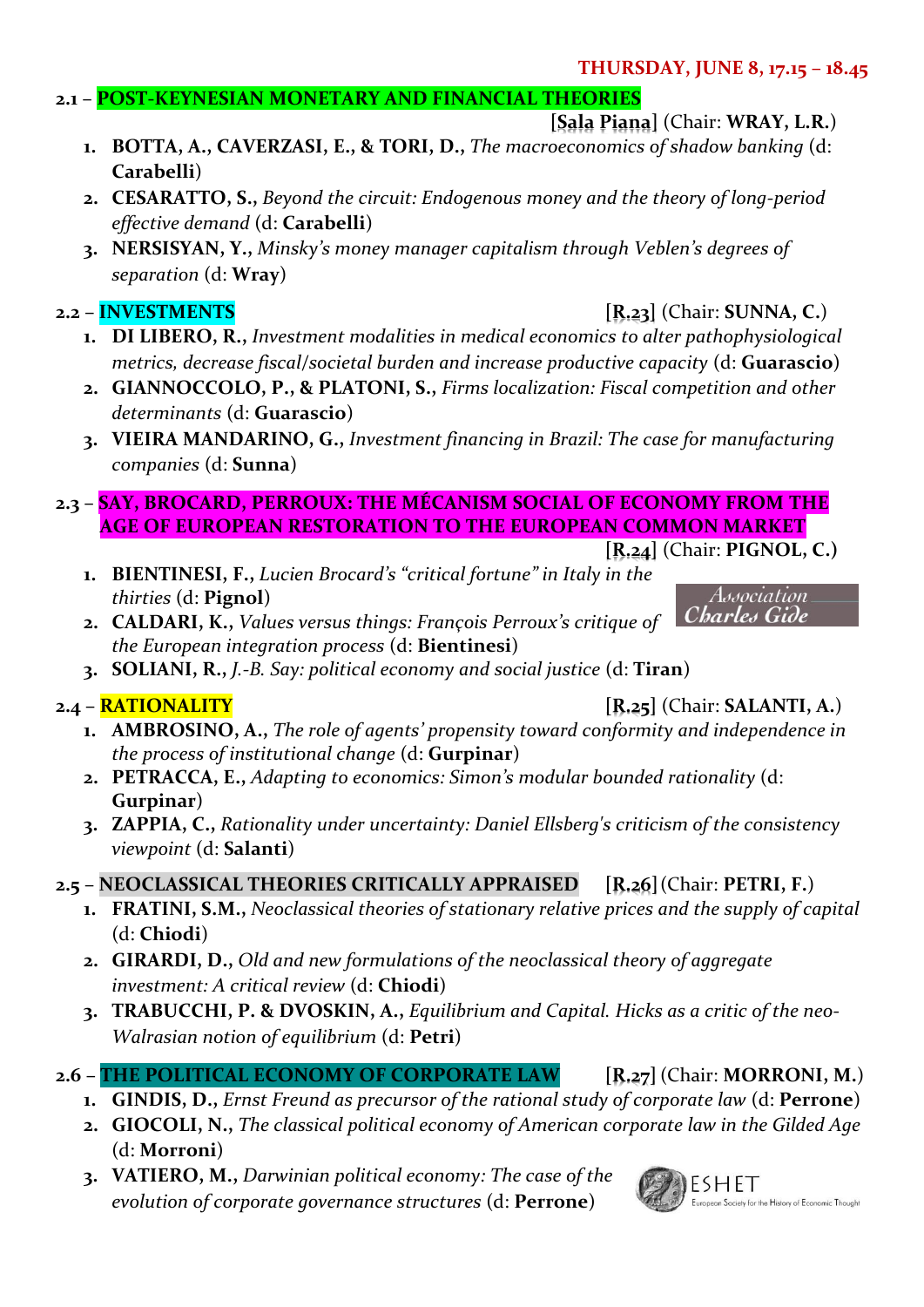#### **THURSDAY, JUNE 8, 17.15 – 18.45**

#### **2.1 – POST-KEYNESIAN MONETARY AND FINANCIAL THEORIES**

#### **[Sala Piana]** (Chair: **WRAY, L.R.**)

- **1. BOTTA, A., CAVERZASI, E., & TORI, D.,** *The macroeconomics of shadow banking* (d: **Carabelli**)
- **2. CESARATTO, S.,** *Beyond the circuit: Endogenous money and the theory of long-period effective demand* (d: **Carabelli**)
- **3. NERSISYAN, Y.,** *Minsky's money manager capitalism through Veblen's degrees of separation* (d: **Wray**)

#### **2.2 – INVESTMENTS [R.23]** (Chair: **SUNNA, C.**)

- **1. DI LIBERO, R.,** *Investment modalities in medical economics to alter pathophysiological metrics, decrease fiscal/societal burden and increase productive capacity* (d: **Guarascio**)
- **2. GIANNOCCOLO, P., & PLATONI, S.,** *Firms localization: Fiscal competition and other determinants* (d: **Guarascio**)
- **3. VIEIRA MANDARINO, G.,** *Investment financing in Brazil: The case for manufacturing companies* (d: **Sunna**)

#### **2.3 – SAY, BROCARD, PERROUX: THE MÉCANISM SOCIAL OF ECONOMY FROM THE AGE OF EUROPEAN RESTORATION TO THE EUROPEAN COMMON MARKET**

#### **[R.24]** (Chair: **PIGNOL, C.)**

Association Charles Gide

- **1. BIENTINESI, F.,** *Lucien Brocard's "critical fortune" in Italy in the thirties* (d: **Pignol**)
- **2. CALDARI, K.,** *Values versus things: François Perroux's critique of the European integration process* (d: **Bientinesi**)
- **3. SOLIANI, R.,** *J.-B. Say: political economy and social justice* (d: **Tiran**)

- **2.4 – RATIONALITY [R.25]** (Chair: **SALANTI, A.**)
	- **1. AMBROSINO, A.,** *The role of agents' propensity toward conformity and independence in the process of institutional change* (d: **Gurpinar**)
	- **2. PETRACCA, E.,** *Adapting to economics: Simon's modular bounded rationality* (d: **Gurpinar**)
	- **3. ZAPPIA, C.,** *Rationality under uncertainty: Daniel Ellsberg's criticism of the consistency viewpoint* (d: **Salanti**)

### **2.5 – NEOCLASSICAL THEORIES CRITICALLY APPRAISED [R.26]**(Chair: **PETRI, F.**)

- **1. FRATINI, S.M.,** *Neoclassical theories of stationary relative prices and the supply of capital* (d: **Chiodi**)
- **2. GIRARDI, D.,** *Old and new formulations of the neoclassical theory of aggregate investment: A critical review* (d: **Chiodi**)
- **3. TRABUCCHI, P. & DVOSKIN, A.,** *Equilibrium and Capital. Hicks as a critic of the neo-Walrasian notion of equilibrium* (d: **Petri**)

### **2.6 – THE POLITICAL ECONOMY OF CORPORATE LAW [R.27]**(Chair: **MORRONI, M.**)

- **1. GINDIS, D.,** *Ernst Freund as precursor of the rational study of corporate law* (d: **Perrone**)
- **2. GIOCOLI, N.,** *The classical political economy of American corporate law in the Gilded Age* (d: **Morroni**)
- **3. VATIERO, M.,** *Darwinian political economy: The case of the evolution of corporate governance structures* (d: **Perrone**)

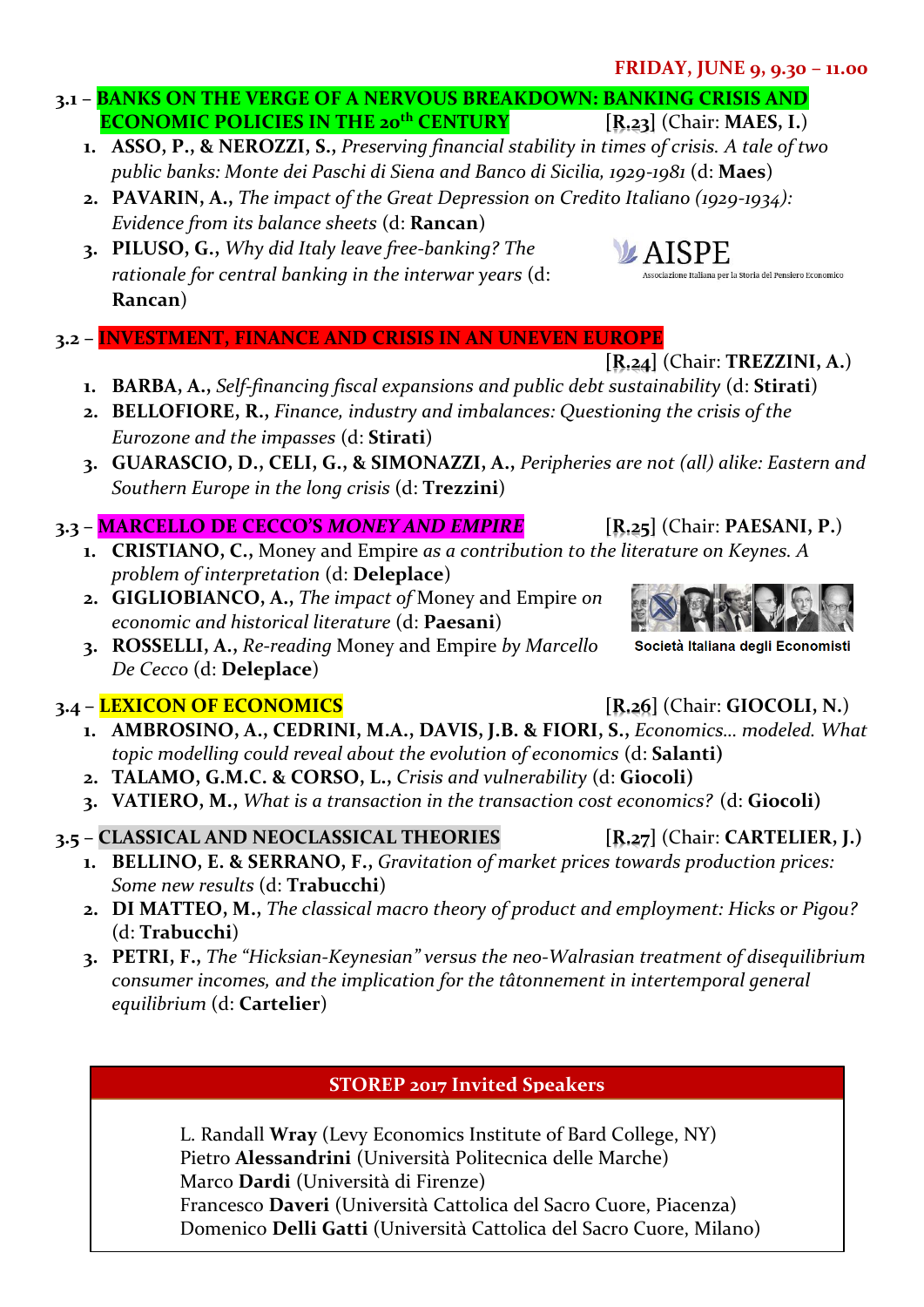#### **FRIDAY, JUNE 9, 9.30 – 11.00**

- **3.1 – BANKS ON THE VERGE OF A NERVOUS BREAKDOWN: BANKING CRISIS AND ECONOMIC POLICIES IN THE 20th CENTURY [R.23]** (Chair: **MAES, I.**)
	- **1. ASSO, P., & NEROZZI, S.,** *Preserving financial stability in times of crisis. A tale of two public banks: Monte dei Paschi di Siena and Banco di Sicilia, 1929-1981* (d: **Maes**)
	- **2. PAVARIN, A.,** *The impact of the Great Depression on Credito Italiano (1929-1934): Evidence from its balance sheets* (d: **Rancan**)
	- **3. PILUSO, G.,** *Why did Italy leave free-banking? The rationale for central banking in the interwar years* (d: **Rancan**)
- **3.2 – INVESTMENT, FINANCE AND CRISIS IN AN UNEVEN EUROPE**
	- **1. BARBA, A.,** *Self-financing fiscal expansions and public debt sustainability* (d: **Stirati**)
	- **2. BELLOFIORE, R.,** *Finance, industry and imbalances: Questioning the crisis of the Eurozone and the impasses* (d: **Stirati**)
	- **3. GUARASCIO, D., CELI, G., & SIMONAZZI, A.,** *Peripheries are not (all) alike: Eastern and Southern Europe in the long crisis* (d: **Trezzini**)

### **3.3 – MARCELLO DE CECCO'S** *MONEY AND EMPIRE* **[R.25]** (Chair: **PAESANI, P.**)

- **1. CRISTIANO, C.,** Money and Empire *as a contribution to the literature on Keynes. A problem of interpretation* (d: **Deleplace**)
- **2. GIGLIOBIANCO, A.,** *The impact of* Money and Empire *on economic and historical literature* (d: **Paesani**)
- **3. ROSSELLI, A.,** *Re-reading* Money and Empire *by Marcello De Cecco* (d: **Deleplace**)

### **3.4 – LEXICON OF ECONOMICS [R.26]** (Chair: **GIOCOLI, N.**)

- **1. AMBROSINO, A., CEDRINI, M.A., DAVIS, J.B. & FIORI, S.,** *Economics… modeled. What topic modelling could reveal about the evolution of economics* (d: **Salanti)**
- **2. TALAMO, G.M.C. & CORSO, L.,** *Crisis and vulnerability* (d: **Giocoli)**
- **3. VATIERO, M.,** *What is a transaction in the transaction cost economics?* (d: **Giocoli)**

### **3.5 – CLASSICAL AND NEOCLASSICAL THEORIES [R.27]** (Chair: **CARTELIER, J.)**

- **1. BELLINO, E. & SERRANO, F.,** *Gravitation of market prices towards production prices: Some new results* (d: **Trabucchi**)
- **2. DI MATTEO, M.,** *The classical macro theory of product and employment: Hicks or Pigou?* (d: **Trabucchi**)
- **3. PETRI, F.,** *The "Hicksian-Keynesian" versus the neo-Walrasian treatment of disequilibrium consumer incomes, and the implication for the tâtonnement in intertemporal general equilibrium* (d: **Cartelier**)

### **STOREP 2017 Invited Speakers**

L. Randall **Wray** (Levy Economics Institute of Bard College, NY) Pietro **Alessandrini** (Università Politecnica delle Marche) Marco **Dardi** (Università di Firenze) Francesco **Daveri** (Università Cattolica del Sacro Cuore, Piacenza) Domenico **Delli Gatti** (Università Cattolica del Sacro Cuore, Milano)

**[R.24]** (Chair: **TREZZINI, A.**)

Società Italiana degli Economisti



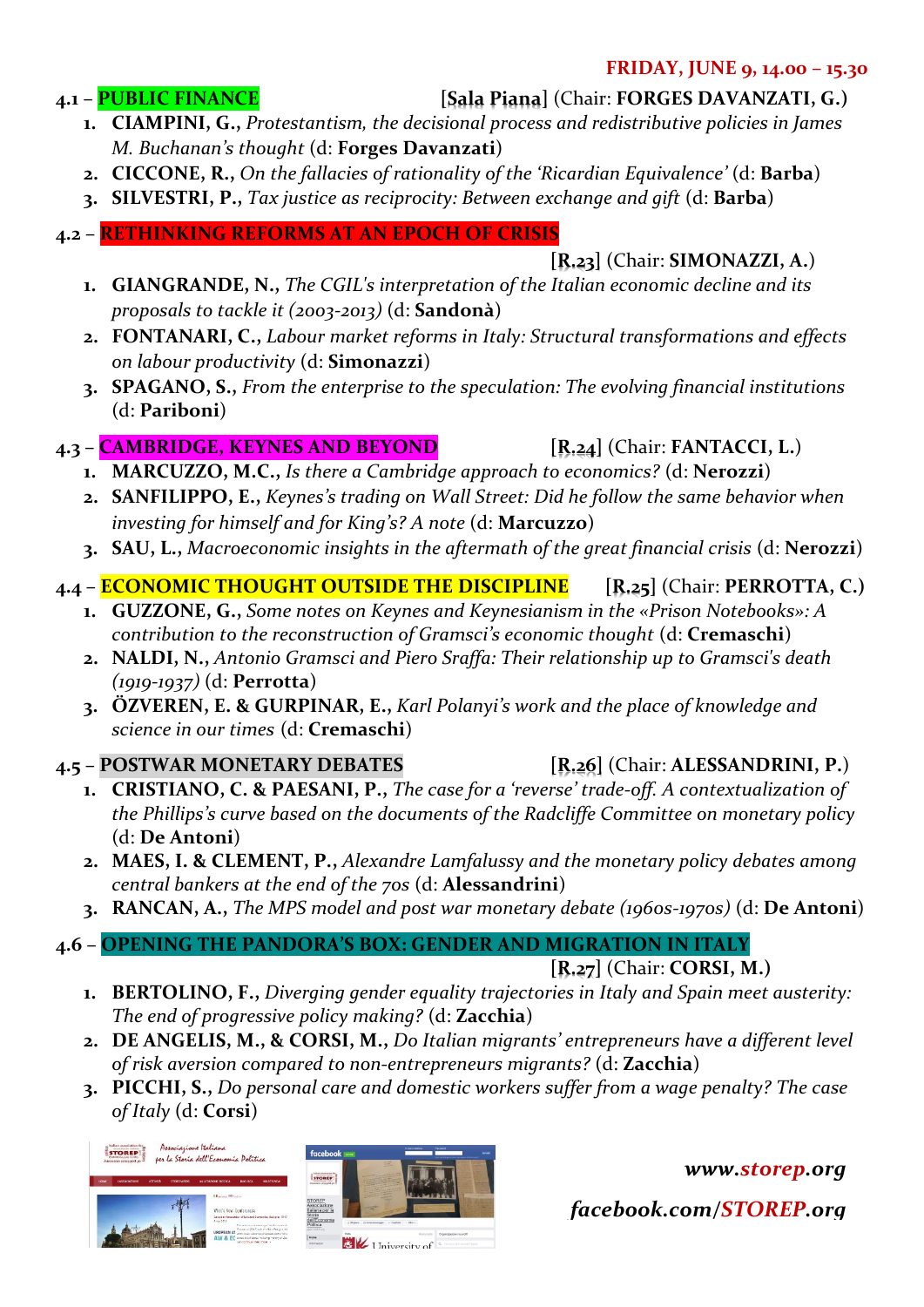#### **FRIDAY, JUNE 9, 14.00 – 15.30**

#### **4.1 – PUBLIC FINANCE [Sala Piana]** (Chair: **FORGES DAVANZATI, G.)**

- **1. CIAMPINI, G.,** *Protestantism, the decisional process and redistributive policies in James M. Buchanan's thought* (d: **Forges Davanzati**)
- **2. CICCONE, R.,** *On the fallacies of rationality of the 'Ricardian Equivalence'* (d: **Barba**)
- **3. SILVESTRI, P.,** *Tax justice as reciprocity: Between exchange and gift* (d: **Barba**)
- **4.2 – RETHINKING REFORMS AT AN EPOCH OF CRISIS**

**[R.23]** (Chair: **SIMONAZZI, A.**)

- **1. GIANGRANDE, N.,** *The CGIL's interpretation of the Italian economic decline and its proposals to tackle it (2003-2013)* (d: **Sandonà**)
- **2. FONTANARI, C.,** *Labour market reforms in Italy: Structural transformations and effects on labour productivity* (d: **Simonazzi**)
- **3. SPAGANO, S.,** *From the enterprise to the speculation: The evolving financial institutions* (d: **Pariboni**)

### **4.3 – CAMBRIDGE, KEYNES AND BEYOND [R.24]** (Chair: **FANTACCI, L.**)

- **1. MARCUZZO, M.C.,** *Is there a Cambridge approach to economics?* (d: **Nerozzi**)
- **2. SANFILIPPO, E.,** *Keynes's trading on Wall Street: Did he follow the same behavior when investing for himself and for King's? A note* (d: **Marcuzzo**)
- **3. SAU, L.,** *Macroeconomic insights in the aftermath of the great financial crisis* (d: **Nerozzi**)

### **4.4 – ECONOMIC THOUGHT OUTSIDE THE DISCIPLINE [R.25]** (Chair: **PERROTTA, C.)**

- **1. GUZZONE, G.,** *Some notes on Keynes and Keynesianism in the «Prison Notebooks»: A contribution to the reconstruction of Gramsci's economic thought* (d: **Cremaschi**)
- **2. NALDI, N.,** *Antonio Gramsci and Piero Sraffa: Their relationship up to Gramsci's death (1919-1937)* (d: **Perrotta**)
- **3. ÖZVEREN, E. & GURPINAR, E.,** *Karl Polanyi's work and the place of knowledge and science in our times* (d: **Cremaschi**)

### **4.5 – POSTWAR MONETARY DEBATES [R.26]** (Chair: **ALESSANDRINI, P.**)

- **1. CRISTIANO, C. & PAESANI, P.,** *The case for a 'reverse' trade-off. A contextualization of the Phillips's curve based on the documents of the Radcliffe Committee on monetary policy* (d: **De Antoni**)
- **2. MAES, I. & CLEMENT, P.,** *Alexandre Lamfalussy and the monetary policy debates among central bankers at the end of the 70s* (d: **Alessandrini**)
- **3. RANCAN, A.,** *The MPS model and post war monetary debate (1960s-1970s)* (d: **De Antoni**)

### **4.6 – OPENING THE PANDORA'S BOX: GENDER AND MIGRATION IN ITALY**

**[R.27]** (Chair: **CORSI, M.)**

- **1. BERTOLINO, F.,** *Diverging gender equality trajectories in Italy and Spain meet austerity: The end of progressive policy making?* (d: **Zacchia**)
- **2. DE ANGELIS, M., & CORSI, M.,** *Do Italian migrants' entrepreneurs have a different level of risk aversion compared to non-entrepreneurs migrants?* (d: **Zacchia**)
- **3. PICCHI, S.,** *Do personal care and domestic workers suffer from a wage penalty? The case of Italy* (d: **Corsi**)





*[www.storep.org](http://www.storep.org/)*

*facebook.com/STOREP.org*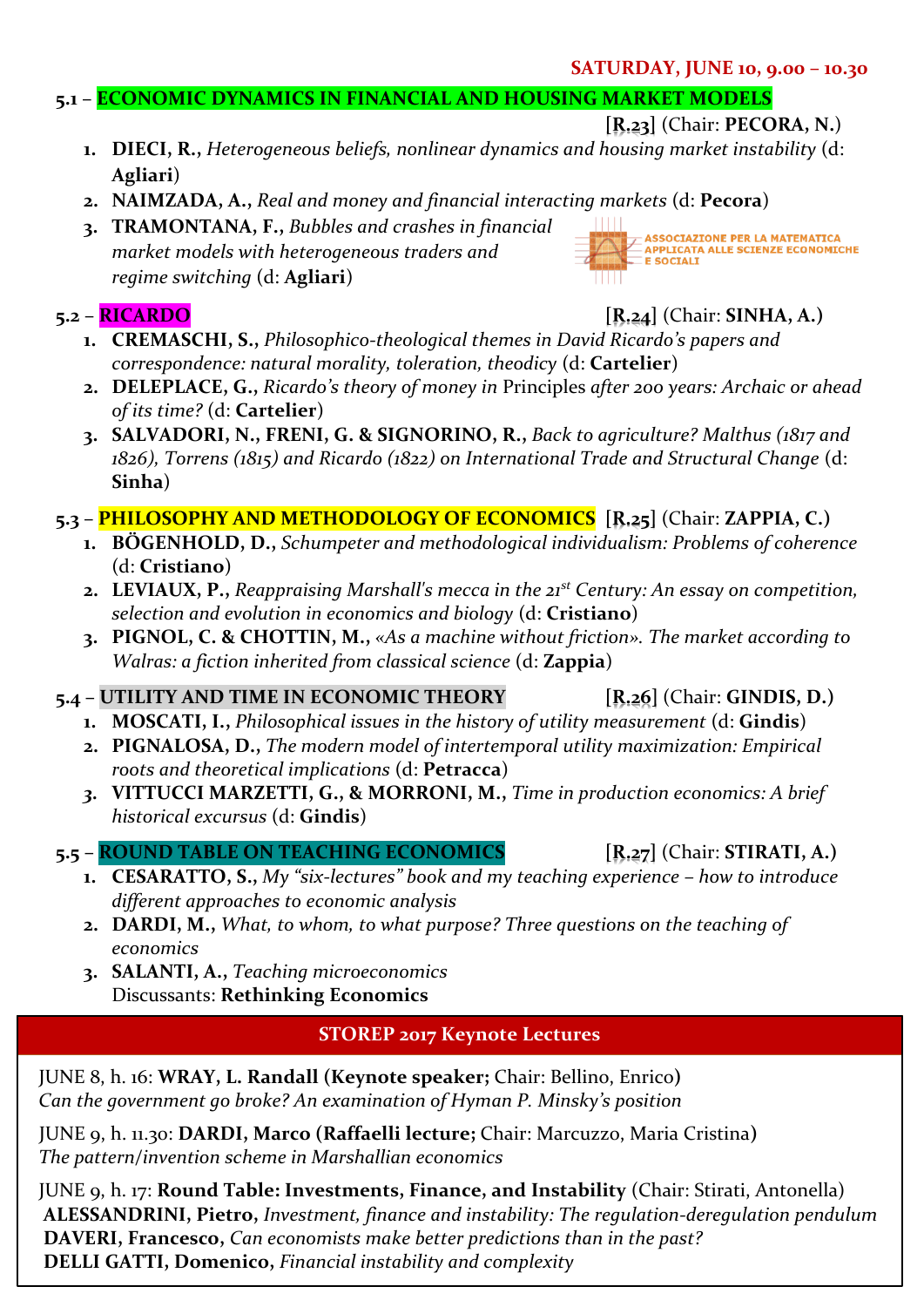#### **SATURDAY, JUNE 10, 9.00 – 10.30**

#### **5.1 – ECONOMIC DYNAMICS IN FINANCIAL AND HOUSING MARKET MODELS**

#### **[R.23]** (Chair: **PECORA, N.**)

ASSOCIAZIONE PER LA MATEMATICA<br>APPLICATA ALLE SCIENZE ECONOMICHE

- **1. DIECI, R.,** *Heterogeneous beliefs, nonlinear dynamics and housing market instability* (d: **Agliari**)
- **2. NAIMZADA, A.,** *Real and money and financial interacting markets* (d: **Pecora**)
- **3. TRAMONTANA, F.,** *Bubbles and crashes in financial market models with heterogeneous traders and regime switching* (d: **Agliari**)

#### **5.2 – RICARDO [R.24]** (Chair: **SINHA, A.)**

**E SOCIALI** 

HH

- **1. CREMASCHI, S.,** *Philosophico-theological themes in David Ricardo's papers and correspondence: natural morality, toleration, theodicy* (d: **Cartelier**)
- **2. DELEPLACE, G.,** *Ricardo's theory of money in* Principles *after 200 years: Archaic or ahead of its time?* (d: **Cartelier**)
- **3. SALVADORI, N., FRENI, G. & SIGNORINO, R.,** *Back to agriculture? Malthus (1817 and 1826), Torrens (1815) and Ricardo (1822) on International Trade and Structural Change* (d: **Sinha**)

#### **5.3 – PHILOSOPHY AND METHODOLOGY OF ECONOMICS [R.25]** (Chair: **ZAPPIA, C.)**

- **1. BÖGENHOLD, D.,** *Schumpeter and methodological individualism: Problems of coherence* (d: **Cristiano**)
- **2. LEVIAUX, P.,** *Reappraising Marshall's mecca in the 21st Century: An essay on competition, selection and evolution in economics and biology* (d: **Cristiano**)
- **3. PIGNOL, C. & CHOTTIN, M.,** *«As a machine without friction». The market according to Walras: a fiction inherited from classical science* (d: **Zappia**)

#### **5.4 – UTILITY AND TIME IN ECONOMIC THEORY [R.26]** (Chair: **GINDIS, D.)**

- **1. MOSCATI, I.,** *Philosophical issues in the history of utility measurement* (d: **Gindis**)
- **2. PIGNALOSA, D.,** *The modern model of intertemporal utility maximization: Empirical roots and theoretical implications* (d: **Petracca**)
- *3.* **VITTUCCI MARZETTI, G., & MORRONI, M.,** *Time in production economics: A brief historical excursus* (d: **Gindis**)

#### **5.5 – ROUND TABLE ON TEACHING ECONOMICS [R.27]** (Chair: **STIRATI, A.)**

- **1. CESARATTO, S.,** *My "six-lectures" book and my teaching experience – how to introduce different approaches to economic analysis*
- **2. DARDI, M.,** *What, to whom, to what purpose? Three questions on the teaching of economics*
- **3. SALANTI, A.,** *Teaching microeconomics* Discussants: **Rethinking Economics**

#### **STOREP 2017 Keynote Lectures**

JUNE 8, h. 16: **WRAY, L. Randall (Keynote speaker;** Chair: Bellino, Enrico**)**  *Can the government go broke? An examination of Hyman P. Minsky's position*

 JUNE 9, h. 11.30: **DARDI, Marco (Raffaelli lecture;** Chair: Marcuzzo, Maria Cristina**)**  *The pattern/invention scheme in Marshallian economics*

JUNE 9, h. 17: **Round Table: Investments, Finance, and Instability** (Chair: Stirati, Antonella)  **ALESSANDRINI, Pietro,** *Investment, finance and instability: The regulation-deregulation pendulum*  **DAVERI, Francesco,** *Can economists make better predictions than in the past?*  **DELLI GATTI, Domenico,** *Financial instability and complexity*